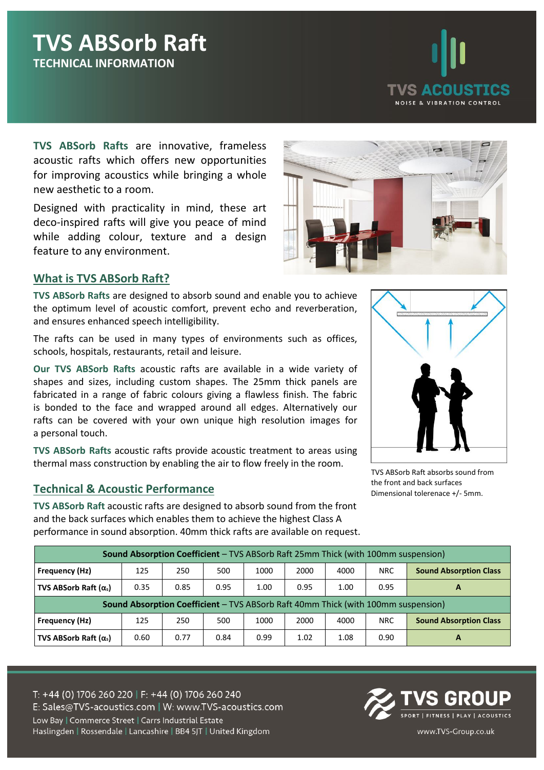

**TVS ABSorb Rafts** are innovative, frameless acoustic rafts which offers new opportunities for improving acoustics while bringing a whole new aesthetic to a room.

Designed with practicality in mind, these art deco-inspired rafts will give you peace of mind while adding colour, texture and a design feature to any environment.

### **What is TVS ABSorb Raft?**

**TVS ABSorb Rafts** are designed to absorb sound and enable you to achieve the optimum level of acoustic comfort, prevent echo and reverberation, and ensures enhanced speech intelligibility.

The rafts can be used in many types of environments such as offices, schools, hospitals, restaurants, retail and leisure.

**Our TVS ABSorb Rafts** acoustic rafts are available in a wide variety of shapes and sizes, including custom shapes. The 25mm thick panels are fabricated in a range of fabric colours giving a flawless finish. The fabric is bonded to the face and wrapped around all edges. Alternatively our rafts can be covered with your own unique high resolution images for a personal touch.

**TVS ABSorb Rafts** acoustic rafts provide acoustic treatment to areas using thermal mass construction by enabling the air to flow freely in the room.

### **Technical & Acoustic Performance**

**TVS ABSorb Raft** acoustic rafts are designed to absorb sound from the front and the back surfaces which enables them to achieve the highest Class A performance in sound absorption. 40mm thick rafts are available on request.



TVS ABSorb Raft absorbs sound from the front and back surfaces Dimensional tolerenace +/- 5mm.

| <b>Sound Absorption Coefficient - TVS ABSorb Raft 25mm Thick (with 100mm suspension)</b> |      |      |      |      |      |      |            |                               |  |
|------------------------------------------------------------------------------------------|------|------|------|------|------|------|------------|-------------------------------|--|
| Frequency (Hz)                                                                           | 125  | 250  | 500  | 1000 | 2000 | 4000 | <b>NRC</b> | <b>Sound Absorption Class</b> |  |
| <b>TVS ABSorb Raft <math>(\alpha_s)</math></b>                                           | 0.35 | 0.85 | 0.95 | 1.00 | 0.95 | 1.00 | 0.95       | A                             |  |
| Sound Absorption Coefficient - TVS ABSorb Raft 40mm Thick (with 100mm suspension)        |      |      |      |      |      |      |            |                               |  |
| Frequency (Hz)                                                                           | 125  | 250  | 500  | 1000 | 2000 | 4000 | NRC.       | <b>Sound Absorption Class</b> |  |
| <b>TVS ABSorb Raft <math>(\alpha_s)</math></b>                                           | 0.60 | 0.77 | 0.84 | 0.99 | 1.02 | 1.08 | 0.90       | A                             |  |

T: +44 (0) 1706 260 220 | F: +44 (0) 1706 260 240 E: Sales@TVS-acoustics.com | W: www.TVS-acoustics.com Low Bay | Commerce Street | Carrs Industrial Estate

Haslingden | Rossendale | Lancashire | BB4 5JT | United Kingdom



www.TVS-Group.co.uk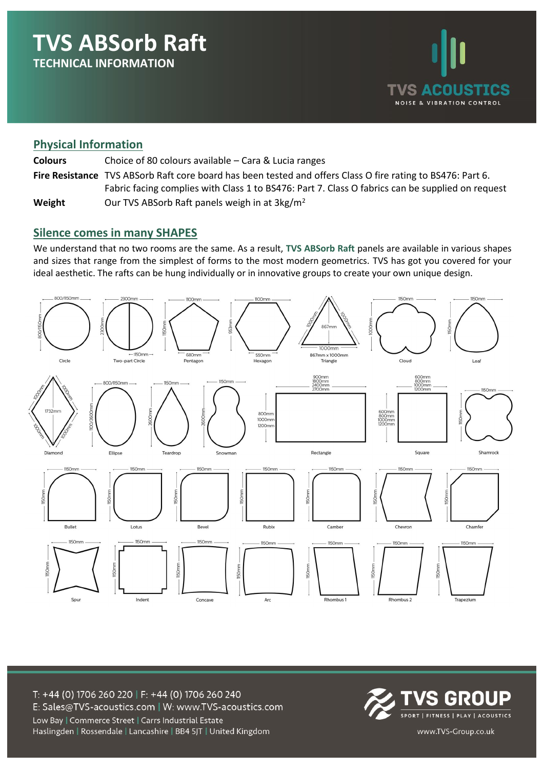

### **Physical Information**

| <b>Colours</b> | Choice of 80 colours available – Cara & Lucia ranges                                                        |
|----------------|-------------------------------------------------------------------------------------------------------------|
|                | Fire Resistance TVS ABSorb Raft core board has been tested and offers Class O fire rating to BS476: Part 6. |
|                | Fabric facing complies with Class 1 to BS476: Part 7. Class O fabrics can be supplied on request            |
| Weight         | Our TVS ABSorb Raft panels weigh in at 3kg/m <sup>2</sup>                                                   |

#### **Silence comes in many SHAPES**

We understand that no two rooms are the same. As a result, **TVS ABSorb Raft** panels are available in various shapes and sizes that range from the simplest of forms to the most modern geometrics. TVS has got you covered for your ideal aesthetic. The rafts can be hung individually or in innovative groups to create your own unique design.



T: +44 (0) 1706 260 220 | F: +44 (0) 1706 260 240 E: Sales@TVS-acoustics.com | W: www.TVS-acoustics.com Low Bay | Commerce Street | Carrs Industrial Estate

Haslingden | Rossendale | Lancashire | BB4 5JT | United Kingdom



www.TVS-Group.co.uk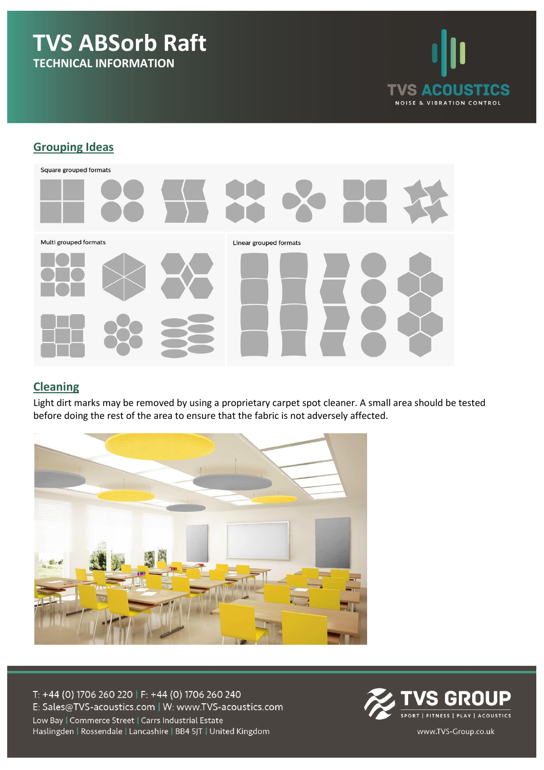

## **Grouping Ideas**



### **Cleaning**

Light dirt marks may be removed by using a proprietary carpet spot cleaner. A small area should be tested before doing the rest of the area to ensure that the fabric is not adversely affected.



T: +44 (0) 1706 260 220 | F: +44 (0) 1706 260 240 E: Sales@TVS-acoustics.com | W: www.TVS-acoustics.com Low Bay | Commerce Street | Carrs Industrial Estate

**S GROUP** SPORT | FITNESS | PLAY | ACOUSTICS

www.TVS-Group.co.uk

Haslingden | Rossendale | Lancashire | BB4 5JT | United Kingdom